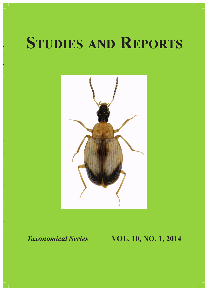# **Studies and Reports**



**Studie**

**s**

**and Repo**

**rt**

**s,** *Taxonomical Series* **VOL. 10, NO. 1, 2014**

## *Taxonomical Series* **VOL. 10, NO. 1, 2014**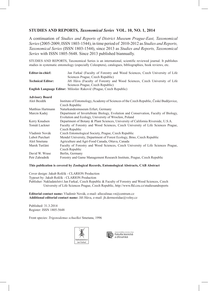#### **Studies and Reports***, Taxonomical Series* **VOL. 10, NO. 1, 2014**

A continuation of *Studies and Reports of District Museum Prague-East, Taxonomical Series* (2005-2009, ISSN 1803-1544), in time period of 2010-2012 as *Studies and Reports, Taxonomical Series* (ISSN 1803-1544), since 2013 as *Studies and Reports, Taxonomical Series* with ISSN 1805-5648. Since 2013 published biannually.

STUDIES AND REPORTS, Taxonomical Series is an international, scientific reviewed journal. It publishes studies in systematic entomology (especially Coleoptera), catalogues, bibliographies, book reviews, etc.

| <b>Editor-in-chief:</b>                                            | Jan Farkač (Faculty of Forestry and Wood Sciences, Czech University of Life           |
|--------------------------------------------------------------------|---------------------------------------------------------------------------------------|
|                                                                    | Sciences Prague, Czech Republic)                                                      |
| <b>Technical Editor:</b>                                           | Jiří Háva (Faculty of Forestry and Wood Sciences, Czech University of Life            |
|                                                                    | Sciences Prague, Czech Republic)                                                      |
| English Language Editor: Miloslav Rakovič (Prague, Czech Republic) |                                                                                       |
| <b>Advisory Board</b>                                              |                                                                                       |
|                                                                    |                                                                                       |
| Aleš Bezděk                                                        | Institute of Entomology, Academy of Sciences of the Czech Republic, České Budějovice, |
|                                                                    | Czech Republic                                                                        |
| Matthias Hartmann                                                  | Naturkundesmuseum Erfurt, Germany                                                     |
| Marcin Kadej                                                       | Department of Invertebrate Biology, Evolution and Conservation, Faculty of Biology,   |
|                                                                    | Evolution and Ecology, University of Wrocław, Poland                                  |
| Kerry Knudsen                                                      | Department of Botany & Plant Sciences, University of California Riverside, U.S.A.     |
| Tomáš Lackner                                                      | Faculty of Forestry and Wood Sciences, Czech University of Life Sciences Prague,      |

| Faculty of Forestry and Wood Sciences, Czech University of Life Sciences Prague. |
|----------------------------------------------------------------------------------|
|                                                                                  |
|                                                                                  |
| Forestry and Game Management Research Institute, Prague, Czech Republic          |
|                                                                                  |

#### **This publication is covered by Zoological Records, Entomological Abstracts, CAB Abstract**

Cover design: Jakub Rolčík - CLARION Production Typeset by: Jakub Rolčík - CLARION Production Publisher: Nakladatelství Jan Farkač, Czech Republic & Faculty of Forestry and Wood Sciences, Czech University of Life Sciences Prague, Czech Republic, http://www.fld.czu.cz/studiesandreports

**Editorial contact name:** Vladimír Novák, e-mail: alleculinae.vn@centrum.cz **Additional editorial contact name:** Jiří Háva, e-mail: jh.dermestidae@volny.cz

Published: 31.3.2014 Register: ISSN 1805-5648

Front species: *Trigonodemus schuelkei* Smetana, 1996